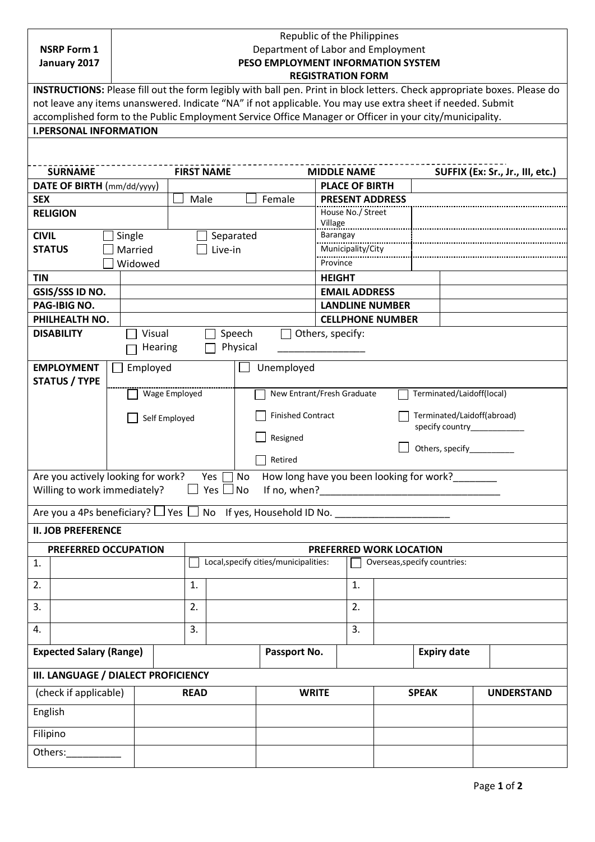|                                                                                                         | <b>NSRP Form 1</b><br>January 2017                                                                                       | Republic of the Philippines<br>Department of Labor and Employment<br>PESO EMPLOYMENT INFORMATION SYSTEM<br><b>REGISTRATION FORM</b> |               |               |                                       |                                                         |                                             |                                                         |                                                                                            |  |                                  |  |  |
|---------------------------------------------------------------------------------------------------------|--------------------------------------------------------------------------------------------------------------------------|-------------------------------------------------------------------------------------------------------------------------------------|---------------|---------------|---------------------------------------|---------------------------------------------------------|---------------------------------------------|---------------------------------------------------------|--------------------------------------------------------------------------------------------|--|----------------------------------|--|--|
|                                                                                                         | INSTRUCTIONS: Please fill out the form legibly with ball pen. Print in block letters. Check appropriate boxes. Please do |                                                                                                                                     |               |               |                                       |                                                         |                                             |                                                         |                                                                                            |  |                                  |  |  |
|                                                                                                         | not leave any items unanswered. Indicate "NA" if not applicable. You may use extra sheet if needed. Submit               |                                                                                                                                     |               |               |                                       |                                                         |                                             |                                                         |                                                                                            |  |                                  |  |  |
| accomplished form to the Public Employment Service Office Manager or Officer in your city/municipality. |                                                                                                                          |                                                                                                                                     |               |               |                                       |                                                         |                                             |                                                         |                                                                                            |  |                                  |  |  |
| <b>I.PERSONAL INFORMATION</b>                                                                           |                                                                                                                          |                                                                                                                                     |               |               |                                       |                                                         |                                             |                                                         |                                                                                            |  |                                  |  |  |
|                                                                                                         |                                                                                                                          |                                                                                                                                     |               |               |                                       |                                                         |                                             |                                                         |                                                                                            |  |                                  |  |  |
|                                                                                                         |                                                                                                                          |                                                                                                                                     |               |               |                                       |                                                         |                                             |                                                         |                                                                                            |  |                                  |  |  |
| <b>SURNAME</b>                                                                                          |                                                                                                                          |                                                                                                                                     |               |               | <b>FIRST NAME</b>                     |                                                         | <b>MIDDLE NAME</b>                          |                                                         |                                                                                            |  | SUFFIX (Ex: Sr., Jr., III, etc.) |  |  |
| DATE OF BIRTH (mm/dd/yyyy)                                                                              |                                                                                                                          |                                                                                                                                     |               |               | Male<br>Female                        |                                                         |                                             | <b>PLACE OF BIRTH</b>                                   |                                                                                            |  |                                  |  |  |
| <b>SEX</b>                                                                                              |                                                                                                                          |                                                                                                                                     |               |               |                                       |                                                         | <b>PRESENT ADDRESS</b><br>House No./ Street |                                                         |                                                                                            |  |                                  |  |  |
|                                                                                                         | <b>RELIGION</b>                                                                                                          |                                                                                                                                     |               |               |                                       |                                                         | Village                                     |                                                         |                                                                                            |  |                                  |  |  |
|                                                                                                         | <b>CIVIL</b><br>Single                                                                                                   |                                                                                                                                     |               |               | Separated                             |                                                         | Barangay                                    |                                                         |                                                                                            |  |                                  |  |  |
|                                                                                                         | Married<br><b>STATUS</b>                                                                                                 |                                                                                                                                     |               |               | Live-in                               |                                                         | Municipality/City                           |                                                         |                                                                                            |  |                                  |  |  |
|                                                                                                         | Widowed                                                                                                                  |                                                                                                                                     |               |               |                                       |                                                         | Province                                    |                                                         |                                                                                            |  |                                  |  |  |
| <b>TIN</b>                                                                                              |                                                                                                                          |                                                                                                                                     |               |               |                                       |                                                         | <b>HEIGHT</b>                               |                                                         |                                                                                            |  |                                  |  |  |
|                                                                                                         | GSIS/SSS ID NO.                                                                                                          |                                                                                                                                     |               |               |                                       |                                                         | <b>EMAIL ADDRESS</b>                        |                                                         |                                                                                            |  |                                  |  |  |
|                                                                                                         | <b>PAG-IBIG NO.</b>                                                                                                      |                                                                                                                                     |               |               |                                       |                                                         | <b>LANDLINE NUMBER</b>                      |                                                         |                                                                                            |  |                                  |  |  |
|                                                                                                         | PHILHEALTH NO.                                                                                                           |                                                                                                                                     |               |               |                                       |                                                         |                                             |                                                         | <b>CELLPHONE NUMBER</b>                                                                    |  |                                  |  |  |
|                                                                                                         | <b>DISABILITY</b>                                                                                                        |                                                                                                                                     | Visual        |               | Speech                                |                                                         | Others, specify:                            |                                                         |                                                                                            |  |                                  |  |  |
| Physical<br>Hearing                                                                                     |                                                                                                                          |                                                                                                                                     |               |               |                                       |                                                         |                                             |                                                         |                                                                                            |  |                                  |  |  |
| <b>EMPLOYMENT</b><br>Employed<br>Unemployed                                                             |                                                                                                                          |                                                                                                                                     |               |               |                                       |                                                         |                                             |                                                         |                                                                                            |  |                                  |  |  |
|                                                                                                         | <b>STATUS / TYPE</b>                                                                                                     |                                                                                                                                     |               |               |                                       |                                                         |                                             |                                                         |                                                                                            |  |                                  |  |  |
|                                                                                                         |                                                                                                                          |                                                                                                                                     |               | Wage Employed |                                       | New Entrant/Fresh Graduate<br>Terminated/Laidoff(local) |                                             |                                                         |                                                                                            |  |                                  |  |  |
|                                                                                                         |                                                                                                                          |                                                                                                                                     | Self Employed |               |                                       | <b>Finished Contract</b><br>Terminated/Laidoff(abroad)  |                                             |                                                         |                                                                                            |  |                                  |  |  |
|                                                                                                         |                                                                                                                          |                                                                                                                                     |               |               |                                       |                                                         |                                             | specify country <b>Supplier Section</b>                 |                                                                                            |  |                                  |  |  |
|                                                                                                         |                                                                                                                          |                                                                                                                                     |               |               |                                       | Resigned                                                | Others, specify_                            |                                                         |                                                                                            |  |                                  |  |  |
|                                                                                                         |                                                                                                                          |                                                                                                                                     |               |               | Retired                               |                                                         |                                             |                                                         |                                                                                            |  |                                  |  |  |
|                                                                                                         |                                                                                                                          |                                                                                                                                     |               |               |                                       |                                                         |                                             |                                                         | Are you actively looking for work? Yes □ No How long have you been looking for work?______ |  |                                  |  |  |
|                                                                                                         | Willing to work immediately?                                                                                             |                                                                                                                                     |               |               |                                       |                                                         |                                             |                                                         |                                                                                            |  |                                  |  |  |
|                                                                                                         |                                                                                                                          |                                                                                                                                     |               |               |                                       |                                                         |                                             |                                                         | Are you a 4Ps beneficiary? $\Box$ Yes $\Box$ No If yes, Household ID No.                   |  |                                  |  |  |
|                                                                                                         | <b>II. JOB PREFERENCE</b>                                                                                                |                                                                                                                                     |               |               |                                       |                                                         |                                             |                                                         |                                                                                            |  |                                  |  |  |
|                                                                                                         |                                                                                                                          |                                                                                                                                     |               |               |                                       |                                                         |                                             |                                                         |                                                                                            |  |                                  |  |  |
| 1.                                                                                                      | PREFERRED OCCUPATION                                                                                                     |                                                                                                                                     |               |               | Local, specify cities/municipalities: |                                                         |                                             | PREFERRED WORK LOCATION<br>Overseas, specify countries: |                                                                                            |  |                                  |  |  |
|                                                                                                         |                                                                                                                          |                                                                                                                                     |               |               |                                       |                                                         |                                             |                                                         |                                                                                            |  |                                  |  |  |
| 2.                                                                                                      |                                                                                                                          |                                                                                                                                     |               | 1.            |                                       |                                                         |                                             | 1.                                                      |                                                                                            |  |                                  |  |  |
| 3.                                                                                                      |                                                                                                                          |                                                                                                                                     |               | 2.            |                                       |                                                         |                                             | 2.                                                      |                                                                                            |  |                                  |  |  |
| 4.                                                                                                      |                                                                                                                          |                                                                                                                                     |               | 3.            |                                       |                                                         |                                             | 3.                                                      |                                                                                            |  |                                  |  |  |
| <b>Expected Salary (Range)</b>                                                                          |                                                                                                                          |                                                                                                                                     |               | Passport No.  |                                       |                                                         | <b>Expiry date</b>                          |                                                         |                                                                                            |  |                                  |  |  |
| III. LANGUAGE / DIALECT PROFICIENCY                                                                     |                                                                                                                          |                                                                                                                                     |               |               |                                       |                                                         |                                             |                                                         |                                                                                            |  |                                  |  |  |
| (check if applicable)                                                                                   |                                                                                                                          |                                                                                                                                     |               | <b>READ</b>   |                                       |                                                         | <b>WRITE</b>                                |                                                         | <b>SPEAK</b>                                                                               |  | <b>UNDERSTAND</b>                |  |  |
| English                                                                                                 |                                                                                                                          |                                                                                                                                     |               |               |                                       |                                                         |                                             |                                                         |                                                                                            |  |                                  |  |  |
| Filipino                                                                                                |                                                                                                                          |                                                                                                                                     |               |               |                                       |                                                         |                                             |                                                         |                                                                                            |  |                                  |  |  |
| Others:____________                                                                                     |                                                                                                                          |                                                                                                                                     |               |               |                                       |                                                         |                                             |                                                         |                                                                                            |  |                                  |  |  |
|                                                                                                         |                                                                                                                          |                                                                                                                                     |               |               |                                       |                                                         |                                             |                                                         |                                                                                            |  |                                  |  |  |